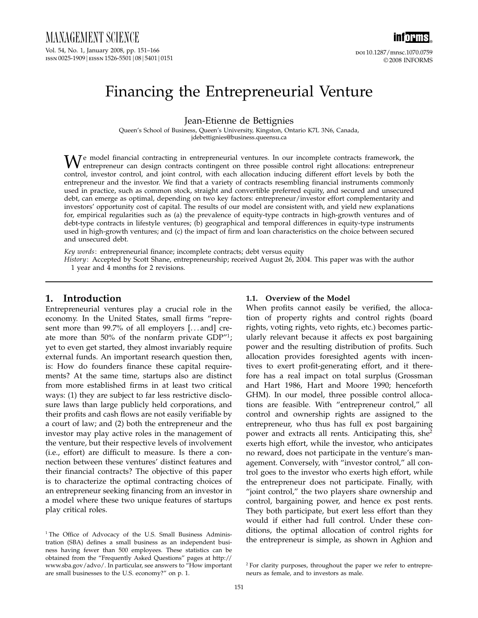MANAGEMENT SCIENCE Vol. 54, No. 1, January 2008, pp. 151–166 ISSN 0025-1909 | EISSN 1526-5501 | 08 | 5401 | 0151



# Financing the Entrepreneurial Venture

Jean-Etienne de Bettignies

Queen's School of Business, Queen's University, Kingston, Ontario K7L 3N6, Canada, jdebettignies@business.queensu.ca

We model financial contracting in entrepreneurial ventures. In our incomplete contracts framework, the entrepreneur can design contracts contingent on three possible control right allocations: entrepreneur<br>entrepreneur can control, investor control, and joint control, with each allocation inducing different effort levels by both the entrepreneur and the investor. We find that a variety of contracts resembling financial instruments commonly used in practice, such as common stock, straight and convertible preferred equity, and secured and unsecured debt, can emerge as optimal, depending on two key factors: entrepreneur/investor effort complementarity and investors' opportunity cost of capital. The results of our model are consistent with, and yield new explanations for, empirical regularities such as (a) the prevalence of equity-type contracts in high-growth ventures and of debt-type contracts in lifestyle ventures; (b) geographical and temporal differences in equity-type instruments used in high-growth ventures; and (c) the impact of firm and loan characteristics on the choice between secured and unsecured debt.

Key words: entrepreneurial finance; incomplete contracts; debt versus equity

History: Accepted by Scott Shane, entrepreneurship; received August 26, 2004. This paper was with the author 1 year and 4 months for 2 revisions.

## 1. Introduction

Entrepreneurial ventures play a crucial role in the economy. In the United States, small firms "represent more than  $99.7\%$  of all employers [...and] create more than 50% of the nonfarm private  $GDP''<sup>1</sup>$ ; yet to even get started, they almost invariably require external funds. An important research question then, is: How do founders finance these capital requirements? At the same time, startups also are distinct from more established firms in at least two critical ways: (1) they are subject to far less restrictive disclosure laws than large publicly held corporations, and their profits and cash flows are not easily verifiable by a court of law; and (2) both the entrepreneur and the investor may play active roles in the management of the venture, but their respective levels of involvement (i.e., effort) are difficult to measure. Is there a connection between these ventures' distinct features and their financial contracts? The objective of this paper is to characterize the optimal contracting choices of an entrepreneur seeking financing from an investor in a model where these two unique features of startups play critical roles.

#### 1.1. Overview of the Model

When profits cannot easily be verified, the allocation of property rights and control rights (board rights, voting rights, veto rights, etc.) becomes particularly relevant because it affects ex post bargaining power and the resulting distribution of profits. Such allocation provides foresighted agents with incentives to exert profit-generating effort, and it therefore has a real impact on total surplus (Grossman and Hart 1986, Hart and Moore 1990; henceforth GHM). In our model, three possible control allocations are feasible. With "entrepreneur control," all control and ownership rights are assigned to the entrepreneur, who thus has full ex post bargaining power and extracts all rents. Anticipating this, she<sup>2</sup> exerts high effort, while the investor, who anticipates no reward, does not participate in the venture's management. Conversely, with "investor control," all control goes to the investor who exerts high effort, while the entrepreneur does not participate. Finally, with "joint control," the two players share ownership and control, bargaining power, and hence ex post rents. They both participate, but exert less effort than they would if either had full control. Under these conditions, the optimal allocation of control rights for the entrepreneur is simple, as shown in Aghion and

<sup>&</sup>lt;sup>1</sup> The Office of Advocacy of the U.S. Small Business Administration (SBA) defines a small business as an independent business having fewer than 500 employees. These statistics can be obtained from the "Frequently Asked Questions" pages at http:// www.sba.gov/advo/. In particular, see answers to "How important are small businesses to the U.S. economy?" on p. 1.

<sup>2</sup> For clarity purposes, throughout the paper we refer to entrepreneurs as female, and to investors as male.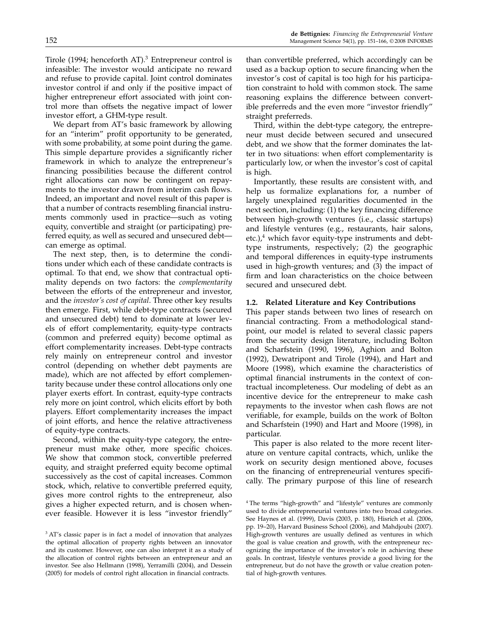Tirole (1994; henceforth AT). $3$  Entrepreneur control is infeasible: The investor would anticipate no reward and refuse to provide capital. Joint control dominates investor control if and only if the positive impact of higher entrepreneur effort associated with joint control more than offsets the negative impact of lower investor effort, a GHM-type result.

We depart from AT's basic framework by allowing for an "interim" profit opportunity to be generated, with some probability, at some point during the game. This simple departure provides a significantly richer framework in which to analyze the entrepreneur's financing possibilities because the different control right allocations can now be contingent on repayments to the investor drawn from interim cash flows. Indeed, an important and novel result of this paper is that a number of contracts resembling financial instruments commonly used in practice—such as voting equity, convertible and straight (or participating) preferred equity, as well as secured and unsecured debt can emerge as optimal.

The next step, then, is to determine the conditions under which each of these candidate contracts is optimal. To that end, we show that contractual optimality depends on two factors: the complementarity between the efforts of the entrepreneur and investor, and the investor's cost of capital. Three other key results then emerge. First, while debt-type contracts (secured and unsecured debt) tend to dominate at lower levels of effort complementarity, equity-type contracts (common and preferred equity) become optimal as effort complementarity increases. Debt-type contracts rely mainly on entrepreneur control and investor control (depending on whether debt payments are made), which are not affected by effort complementarity because under these control allocations only one player exerts effort. In contrast, equity-type contracts rely more on joint control, which elicits effort by both players. Effort complementarity increases the impact of joint efforts, and hence the relative attractiveness of equity-type contracts.

Second, within the equity-type category, the entrepreneur must make other, more specific choices. We show that common stock, convertible preferred equity, and straight preferred equity become optimal successively as the cost of capital increases. Common stock, which, relative to convertible preferred equity, gives more control rights to the entrepreneur, also gives a higher expected return, and is chosen whenever feasible. However it is less "investor friendly"

than convertible preferred, which accordingly can be used as a backup option to secure financing when the investor's cost of capital is too high for his participation constraint to hold with common stock. The same reasoning explains the difference between convertible preferreds and the even more "investor friendly" straight preferreds.

Third, within the debt-type category, the entrepreneur must decide between secured and unsecured debt, and we show that the former dominates the latter in two situations: when effort complementarity is particularly low, or when the investor's cost of capital is high.

Importantly, these results are consistent with, and help us formalize explanations for, a number of largely unexplained regularities documented in the next section, including: (1) the key financing difference between high-growth ventures (i.e., classic startups) and lifestyle ventures (e.g., restaurants, hair salons, etc.), $4$  which favor equity-type instruments and debttype instruments, respectively; (2) the geographic and temporal differences in equity-type instruments used in high-growth ventures; and (3) the impact of firm and loan characteristics on the choice between secured and unsecured debt.

#### 1.2. Related Literature and Key Contributions

This paper stands between two lines of research on financial contracting. From a methodological standpoint, our model is related to several classic papers from the security design literature, including Bolton and Scharfstein (1990, 1996), Aghion and Bolton (1992), Dewatripont and Tirole (1994), and Hart and Moore (1998), which examine the characteristics of optimal financial instruments in the context of contractual incompleteness. Our modeling of debt as an incentive device for the entrepreneur to make cash repayments to the investor when cash flows are not verifiable, for example, builds on the work of Bolton and Scharfstein (1990) and Hart and Moore (1998), in particular.

This paper is also related to the more recent literature on venture capital contracts, which, unlike the work on security design mentioned above, focuses on the financing of entrepreneurial ventures specifically. The primary purpose of this line of research

<sup>&</sup>lt;sup>3</sup> AT's classic paper is in fact a model of innovation that analyzes the optimal allocation of property rights between an innovator and its customer. However, one can also interpret it as a study of the allocation of control rights between an entrepreneur and an investor. See also Hellmann (1998), Yerramilli (2004), and Dessein (2005) for models of control right allocation in financial contracts.

<sup>4</sup> The terms "high-growth" and "lifestyle" ventures are commonly used to divide entrepreneurial ventures into two broad categories. See Haynes et al. (1999), Davis (2003, p. 180), Hisrich et al. (2006, pp. 19–20), Harvard Business School (2006), and Mahdjoubi (2007). High-growth ventures are usually defined as ventures in which the goal is value creation and growth, with the entrepreneur recognizing the importance of the investor's role in achieving these goals. In contrast, lifestyle ventures provide a good living for the entrepreneur, but do not have the growth or value creation potential of high-growth ventures.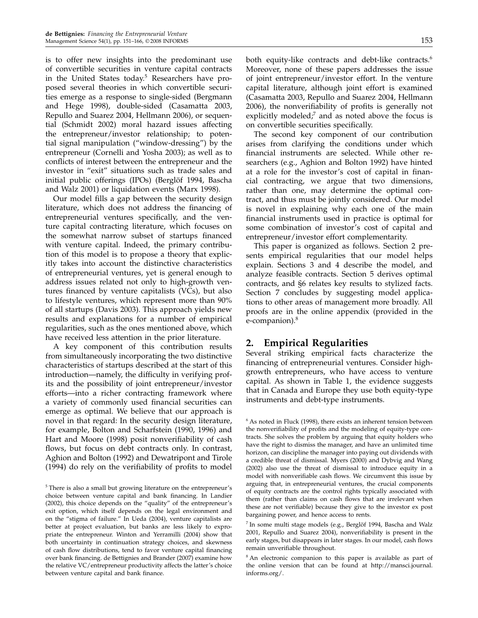is to offer new insights into the predominant use of convertible securities in venture capital contracts in the United States today.<sup>5</sup> Researchers have proposed several theories in which convertible securities emerge as a response to single-sided (Bergmann and Hege 1998), double-sided (Casamatta 2003, Repullo and Suarez 2004, Hellmann 2006), or sequential (Schmidt 2002) moral hazard issues affecting the entrepreneur/investor relationship; to potential signal manipulation ("window-dressing") by the entrepreneur (Cornelli and Yosha 2003); as well as to conflicts of interest between the entrepreneur and the investor in "exit" situations such as trade sales and initial public offerings (IPOs) (Berglöf 1994, Bascha and Walz 2001) or liquidation events (Marx 1998).

Our model fills a gap between the security design literature, which does not address the financing of entrepreneurial ventures specifically, and the venture capital contracting literature, which focuses on the somewhat narrow subset of startups financed with venture capital. Indeed, the primary contribution of this model is to propose a theory that explicitly takes into account the distinctive characteristics of entrepreneurial ventures, yet is general enough to address issues related not only to high-growth ventures financed by venture capitalists (VCs), but also to lifestyle ventures, which represent more than 90% of all startups (Davis 2003). This approach yields new results and explanations for a number of empirical regularities, such as the ones mentioned above, which have received less attention in the prior literature.

A key component of this contribution results from simultaneously incorporating the two distinctive characteristics of startups described at the start of this introduction—namely, the difficulty in verifying profits and the possibility of joint entrepreneur/investor efforts—into a richer contracting framework where a variety of commonly used financial securities can emerge as optimal. We believe that our approach is novel in that regard: In the security design literature, for example, Bolton and Scharfstein (1990, 1996) and Hart and Moore (1998) posit nonverifiability of cash flows, but focus on debt contracts only. In contrast, Aghion and Bolton (1992) and Dewatripont and Tirole (1994) do rely on the verifiability of profits to model

<sup>5</sup> There is also a small but growing literature on the entrepreneur's choice between venture capital and bank financing. In Landier (2002), this choice depends on the "quality" of the entrepreneur's exit option, which itself depends on the legal environment and on the "stigma of failure." In Ueda (2004), venture capitalists are better at project evaluation, but banks are less likely to expropriate the entrepreneur. Winton and Yerramilli (2004) show that both uncertainty in continuation strategy choices, and skewness of cash flow distributions, tend to favor venture capital financing over bank financing. de Bettignies and Brander (2007) examine how the relative VC/entrepreneur productivity affects the latter's choice between venture capital and bank finance.

both equity-like contracts and debt-like contracts.<sup>6</sup> Moreover, none of these papers addresses the issue of joint entrepreneur/investor effort. In the venture capital literature, although joint effort is examined (Casamatta 2003, Repullo and Suarez 2004, Hellmann 2006), the nonverifiability of profits is generally not explicitly modeled; $^7$  and as noted above the focus is on convertible securities specifically.

The second key component of our contribution arises from clarifying the conditions under which financial instruments are selected. While other researchers (e.g., Aghion and Bolton 1992) have hinted at a role for the investor's cost of capital in financial contracting, we argue that two dimensions, rather than one, may determine the optimal contract, and thus must be jointly considered. Our model is novel in explaining why each one of the main financial instruments used in practice is optimal for some combination of investor's cost of capital and entrepreneur/investor effort complementarity.

This paper is organized as follows. Section 2 presents empirical regularities that our model helps explain. Sections 3 and 4 describe the model, and analyze feasible contracts. Section 5 derives optimal contracts, and §6 relates key results to stylized facts. Section 7 concludes by suggesting model applications to other areas of management more broadly. All proofs are in the online appendix (provided in the e-companion).<sup>8</sup>

## 2. Empirical Regularities

Several striking empirical facts characterize the financing of entrepreneurial ventures. Consider highgrowth entrepreneurs, who have access to venture capital. As shown in Table 1, the evidence suggests that in Canada and Europe they use both equity-type instruments and debt-type instruments.

 $6$  As noted in Fluck (1998), there exists an inherent tension between the nonverifiability of profits and the modeling of equity-type contracts. She solves the problem by arguing that equity holders who have the right to dismiss the manager, and have an unlimited time horizon, can discipline the manager into paying out dividends with a credible threat of dismissal. Myers (2000) and Dybvig and Wang (2002) also use the threat of dismissal to introduce equity in a model with nonverifiable cash flows. We circumvent this issue by arguing that, in entrepreneurial ventures, the crucial components of equity contracts are the control rights typically associated with them (rather than claims on cash flows that are irrelevant when these are not verifiable) because they give to the investor ex post bargaining power, and hence access to rents.

<sup>7</sup> In some multi stage models (e.g., Berglöf 1994, Bascha and Walz 2001, Repullo and Suarez 2004), nonverifiability is present in the early stages, but disappears in later stages. In our model, cash flows remain unverifiable throughout.

<sup>&</sup>lt;sup>8</sup> An electronic companion to this paper is available as part of the online version that can be found at http://mansci.journal. informs.org/.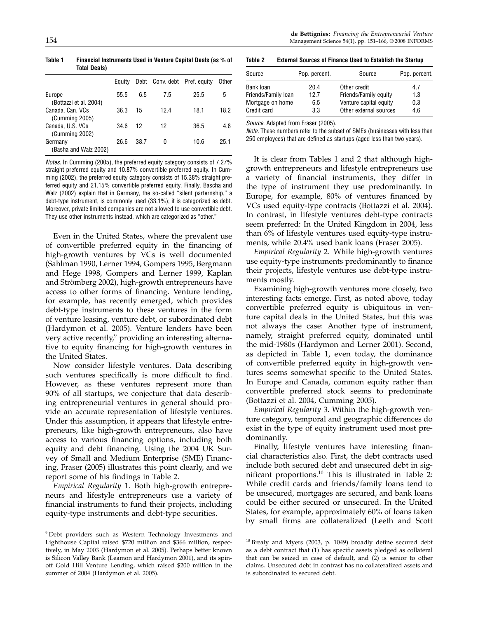Table 1 Financial Instruments Used in Venture Capital Deals (as % of Total Deals)

| Eauitv |      |      |      | Other                        |
|--------|------|------|------|------------------------------|
| 55.5   | 6.5  | 7.5  | 25.5 | 5                            |
| 36.3   | 15   | 12.4 | 18.1 | 18.2                         |
| 34.6   | 12   | 12   | 36.5 | 4.8                          |
| 26.6   | 38.7 | 0    | 10.6 | 25.1                         |
|        |      |      |      | Debt Conv. debt Pref. equity |

Notes. In Cumming (2005), the preferred equity category consists of 7.27% straight preferred equity and 10.87% convertible preferred equity. In Cumming (2002), the preferred equity category consists of 15.38% straight preferred equity and 21.15% convertible preferred equity. Finally, Bascha and Walz (2002) explain that in Germany, the so-called "silent parternship," a debt-type instrument, is commonly used (33.1%); it is categorized as debt. Moreover, private limited companies are not allowed to use convertible debt. They use other instruments instead, which are categorized as "other."

Even in the United States, where the prevalent use of convertible preferred equity in the financing of high-growth ventures by VCs is well documented (Sahlman 1990, Lerner 1994, Gompers 1995, Bergmann and Hege 1998, Gompers and Lerner 1999, Kaplan and Strömberg 2002), high-growth entrepreneurs have access to other forms of financing. Venture lending, for example, has recently emerged, which provides debt-type instruments to these ventures in the form of venture leasing, venture debt, or subordinated debt (Hardymon et al. 2005). Venture lenders have been very active recently,<sup>9</sup> providing an interesting alternative to equity financing for high-growth ventures in the United States.

Now consider lifestyle ventures. Data describing such ventures specifically is more difficult to find. However, as these ventures represent more than 90% of all startups, we conjecture that data describing entrepreneurial ventures in general should provide an accurate representation of lifestyle ventures. Under this assumption, it appears that lifestyle entrepreneurs, like high-growth entrepreneurs, also have access to various financing options, including both equity and debt financing. Using the 2004 UK Survey of Small and Medium Enterprise (SME) Financing, Fraser (2005) illustrates this point clearly, and we report some of his findings in Table 2.

Empirical Regularity 1. Both high-growth entrepreneurs and lifestyle entrepreneurs use a variety of financial instruments to fund their projects, including equity-type instruments and debt-type securities.

Table 2 External Sources of Finance Used to Establish the Startup

| Source              | Pop. percent. | Source                 | Pop. percent. |  |
|---------------------|---------------|------------------------|---------------|--|
| Bank loan           | 20.4          | Other credit           | 47            |  |
| Friends/Family Ioan | 12.7          | Friends/Family equity  | 1.3           |  |
| Mortgage on home    | 6.5           | Venture capital equity | 0.3           |  |
| Credit card         | 3.3           | Other external sources | 4.6           |  |

Source. Adapted from Fraser (2005).

Note. These numbers refer to the subset of SMEs (businesses with less than 250 employees) that are defined as startups (aged less than two years).

It is clear from Tables 1 and 2 that although highgrowth entrepreneurs and lifestyle entrepreneurs use a variety of financial instruments, they differ in the type of instrument they use predominantly. In Europe, for example, 80% of ventures financed by VCs used equity-type contracts (Bottazzi et al. 2004). In contrast, in lifestyle ventures debt-type contracts seem preferred: In the United Kingdom in 2004, less than 6% of lifestyle ventures used equity-type instruments, while 20.4% used bank loans (Fraser 2005).

Empirical Regularity 2. While high-growth ventures use equity-type instruments predominantly to finance their projects, lifestyle ventures use debt-type instruments mostly.

Examining high-growth ventures more closely, two interesting facts emerge. First, as noted above, today convertible preferred equity is ubiquitous in venture capital deals in the United States, but this was not always the case: Another type of instrument, namely, straight preferred equity, dominated until the mid-1980s (Hardymon and Lerner 2001). Second, as depicted in Table 1, even today, the dominance of convertible preferred equity in high-growth ventures seems somewhat specific to the United States. In Europe and Canada, common equity rather than convertible preferred stock seems to predominate (Bottazzi et al. 2004, Cumming 2005).

Empirical Regularity 3. Within the high-growth venture category, temporal and geographic differences do exist in the type of equity instrument used most predominantly.

Finally, lifestyle ventures have interesting financial characteristics also. First, the debt contracts used include both secured debt and unsecured debt in significant proportions. $10$  This is illustrated in Table 2: While credit cards and friends/family loans tend to be unsecured, mortgages are secured, and bank loans could be either secured or unsecured. In the United States, for example, approximately 60% of loans taken by small firms are collateralized (Leeth and Scott

<sup>9</sup> Debt providers such as Western Technology Investments and Lighthouse Capital raised \$720 million and \$366 million, respectively, in May 2003 (Hardymon et al. 2005). Perhaps better known is Silicon Valley Bank (Leamon and Hardymon 2001), and its spinoff Gold Hill Venture Lending, which raised \$200 million in the summer of 2004 (Hardymon et al. 2005).

<sup>10</sup> Brealy and Myers (2003, p. 1049) broadly define secured debt as a debt contract that (1) has specific assets pledged as collateral that can be seized in case of default, and (2) is senior to other claims. Unsecured debt in contrast has no collateralized assets and is subordinated to secured debt.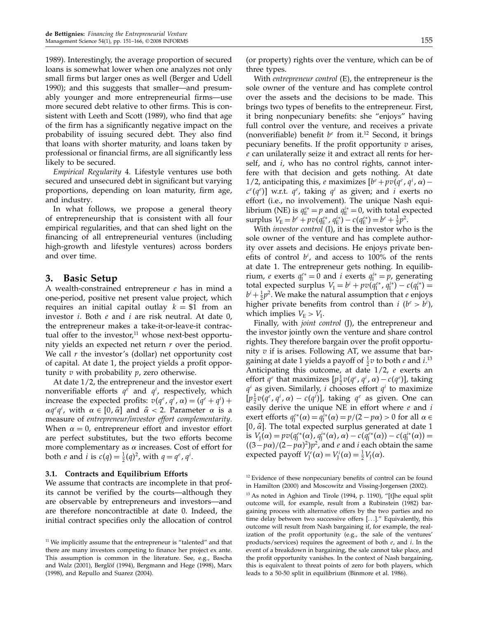1989). Interestingly, the average proportion of secured loans is somewhat lower when one analyzes not only small firms but larger ones as well (Berger and Udell 1990); and this suggests that smaller—and presumably younger and more entrepreneurial firms—use more secured debt relative to other firms. This is consistent with Leeth and Scott (1989), who find that age of the firm has a significantly negative impact on the probability of issuing secured debt. They also find that loans with shorter maturity, and loans taken by professional or financial firms, are all significantly less likely to be secured.

Empirical Regularity 4. Lifestyle ventures use both secured and unsecured debt in significant but varying proportions, depending on loan maturity, firm age, and industry.

In what follows, we propose a general theory of entrepreneurship that is consistent with all four empirical regularities, and that can shed light on the financing of all entrepreneurial ventures (including high-growth and lifestyle ventures) across borders and over time.

## 3. Basic Setup

A wealth-constrained entrepreneur e has in mind a one-period, positive net present value project, which requires an initial capital outlay  $k = $1$  from an investor  $i$ . Both  $e$  and  $i$  are risk neutral. At date  $0$ , the entrepreneur makes a take-it-or-leave-it contractual offer to the investor, $11$  whose next-best opportunity yields an expected net return  $r$  over the period. We call  $r$  the investor's (dollar) net opportunity cost of capital. At date 1, the project yields a profit opportunity  $v$  with probability  $p$ , zero otherwise.

At date 1/2, the entrepreneur and the investor exert nonverifiable efforts  $q^e$  and  $q^i$ , respectively, which increase the expected profits:  $v(q^e, q^i, \alpha) = (q^e + q^i) +$  $\alpha q^e q^i$ , with  $\alpha \in [0, \hat{\alpha}]$  and  $\hat{\alpha} < 2$ . Parameter  $\alpha$  is a measure of entrepreneur/investor effort complementarity. When  $\alpha = 0$ , entrepreneur effort and investor effort are perfect substitutes, but the two efforts become more complementary as  $\alpha$  increases. Cost of effort for both *e* and *i* is  $c(q) = \frac{1}{2}(q)^2$ , with  $q = q^e$ ,  $q^i$ .

#### 3.1. Contracts and Equilibrium Efforts

We assume that contracts are incomplete in that profits cannot be verified by the courts—although they are observable by entrepreneurs and investors—and are therefore noncontractible at date 0. Indeed, the initial contract specifies only the allocation of control (or property) rights over the venture, which can be of three types.

With *entrepreneur control* (E), the entrepreneur is the sole owner of the venture and has complete control over the assets and the decisions to be made. This brings two types of benefits to the entrepreneur. First, it bring nonpecuniary benefits: she "enjoys" having full control over the venture, and receives a private (nonverifiable) benefit  $b^e$  from it.<sup>12</sup> Second, it brings pecuniary benefits. If the profit opportunity  $v$  arises, e can unilaterally seize it and extract all rents for herself, and *i*, who has no control rights, cannot interfere with that decision and gets nothing. At date 1/2, anticipating this, e maximizes  $[b^e + pv(q^e, q^i, \alpha)$  $c^e(q^e)$ ] w.r.t.  $q^e$ , taking  $q^i$  as given; and i exerts no effort (i.e., no involvement). The unique Nash equilibrium (NE) is  $q_{\rm E}^{e*} = p$  and  $q_{\rm E}^{i*} = 0$ , with total expected surplus  $V_{\rm E} = b^e + pv(q_{\rm E}^{e*}, q_{\rm E}^{i*}) - c(q_{\rm E}^{e*}) = b^e + \frac{1}{2}p^2$ .

With investor control (I), it is the investor who is the sole owner of the venture and has complete authority over assets and decisions. He enjoys private benefits of control  $b^i$ , and access to 100% of the rents at date 1. The entrepreneur gets nothing. In equilibrium, *e* exerts  $q_1^{e*} = 0$  and *i* exerts  $q_1^{i*} = p$ , generating total expected surplus  $V_{\rm I} = b^i + pv(q_{\rm I}^{e*}, q_{\rm I}^{i*}) - c(q_{\rm I}^{i*}) =$  $b^i + \frac{1}{2}p^2$ . We make the natural assumption that *e* enjoys higher private benefits from control than  $i$  ( $b^e > b^i$ ), which implies  $V_{\rm E} > V_{\rm I}$ .

Finally, with *joint control* (J), the entrepreneur and the investor jointly own the venture and share control rights. They therefore bargain over the profit opportunity  $v$  if is arises. Following AT, we assume that bargaining at date 1 yields a payoff of  $\frac{1}{2}v$  to both  $e$  and  $i$ .<sup>13</sup> Anticipating this outcome, at date  $1/2$ ,  $e$  exerts an effort  $q^e$  that maximizes  $[p^{\frac{1}{2}}v(q^e, q^i, \alpha) - c(q^e)]$ , taking  $q<sup>i</sup>$  as given. Similarly, *i* chooses effort  $q<sup>i</sup>$  to maximize  $[p \frac{1}{2} v(q^e, q^i, \alpha) - c(q^i)]$ , taking  $q^e$  as given. One can easily derive the unique NE in effort where  $e$  and  $i$ exert efforts  $q_f^{e*}(\alpha) = q_f^{i*}(\alpha) = p/(2 - p\alpha) > 0$  for all  $\alpha \in$  $[0, \hat{\alpha}]$ . The total expected surplus generated at date 1 is  $V_J(\alpha) = pv(q_J^{e*}(\alpha), q_J^{j*}(\alpha), \alpha) - c(q_J^{e*}(\alpha)) - c(q_J^{j*}(\alpha)) =$  $((3-p\alpha)/(2-p\alpha)^2)p^2$ , and *e* and *i* each obtain the same expected payoff  $V_{J}^{e}(\alpha) = V_{J}^{i}(\alpha) = \frac{1}{2}V_{J}(\alpha)$ .

 $12$  Evidence of these nonpecuniary benefits of control can be found in Hamilton (2000) and Moscowitz and Vissing-Jorgensen (2002).

<sup>13</sup> As noted in Aghion and Tirole (1994, p. 1190), "[t]he equal split outcome will, for example, result from a Rubinstein (1982) bargaining process with alternative offers by the two parties and no time delay between two successive offers  $[...]$ ." Equivalently, this outcome will result from Nash bargaining if, for example, the realization of the profit opportunity (e.g., the sale of the ventures' products/services) requires the agreement of both  $e$ , and  $i$ . In the event of a breakdown in bargaining, the sale cannot take place, and the profit opportunity vanishes. In the context of Nash bargaining, this is equivalent to threat points of zero for both players, which leads to a 50-50 split in equilibrium (Binmore et al. 1986).

<sup>&</sup>lt;sup>11</sup> We implicitly assume that the entrepreneur is "talented" and that there are many investors competing to finance her project ex ante. This assumption is common in the literature. See, e.g., Bascha and Walz (2001), Berglöf (1994), Bergmann and Hege (1998), Marx (1998), and Repullo and Suarez (2004).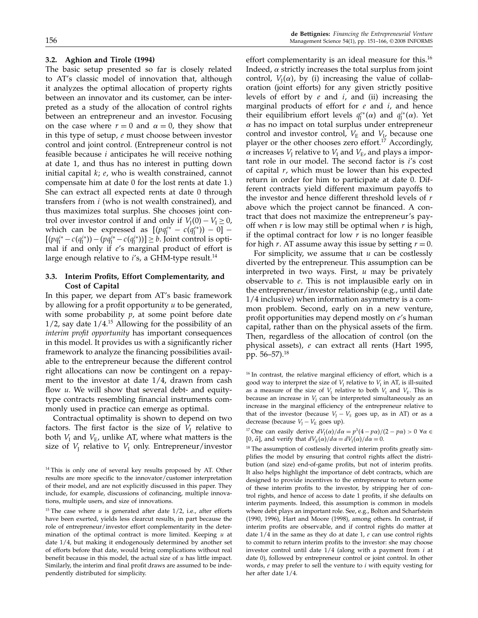#### 3.2. Aghion and Tirole (1994)

The basic setup presented so far is closely related to AT's classic model of innovation that, although it analyzes the optimal allocation of property rights between an innovator and its customer, can be interpreted as a study of the allocation of control rights between an entrepreneur and an investor. Focusing on the case where  $r = 0$  and  $\alpha = 0$ , they show that in this type of setup, e must choose between investor control and joint control. (Entrepreneur control is not feasible because  $i$  anticipates he will receive nothing at date 1, and thus has no interest in putting down initial capital  $k$ ;  $e$ , who is wealth constrained, cannot compensate him at date 0 for the lost rents at date 1.) She can extract all expected rents at date 0 through transfers from i (who is not wealth constrained), and thus maximizes total surplus. She chooses joint control over investor control if and only if  $V_I(0) - V_I \geq 0$ , which can be expressed as  $[(pq_j^{e*} - c(q_j^{e*})) - 0]$  –  $[(pq_1^{i*}-c(q_1^{i*}))-(pq_1^{i*}-c(q_1^{i*}))]\geq b.$  Joint control is optimal if and only if e's marginal product of effort is large enough relative to  $i$ 's, a GHM-type result.<sup>14</sup>

#### 3.3. Interim Profits, Effort Complementarity, and Cost of Capital

In this paper, we depart from AT's basic framework by allowing for a profit opportunity  $u$  to be generated, with some probability  $p$ , at some point before date  $1/2$ , say date  $1/4$ .<sup>15</sup> Allowing for the possibility of an interim profit opportunity has important consequences in this model. It provides us with a significantly richer framework to analyze the financing possibilities available to the entrepreneur because the different control right allocations can now be contingent on a repayment to the investor at date 1/4, drawn from cash flow  $u$ . We will show that several debt- and equitytype contracts resembling financial instruments commonly used in practice can emerge as optimal.

Contractual optimality is shown to depend on two factors. The first factor is the size of  $V_I$  relative to both  $V_{I}$  and  $V_{E}$ , unlike AT, where what matters is the size of  $V_I$  relative to  $V_I$  only. Entrepreneur/investor

effort complementarity is an ideal measure for this.<sup>16</sup> Indeed,  $\alpha$  strictly increases the total surplus from joint control,  $V_1(\alpha)$ , by (i) increasing the value of collaboration (joint efforts) for any given strictly positive levels of effort by  $e$  and  $i$ , and (ii) increasing the marginal products of effort for  $e$  and  $i$ , and hence their equilibrium effort levels  $q_f^{e*}(\alpha)$  and  $q_J^{i*}(\alpha)$ . Yet  $\alpha$  has no impact on total surplus under entrepreneur control and investor control,  $V_{\rm E}$  and  $V_{\rm I}$ , because one player or the other chooses zero effort.<sup>17</sup> Accordingly,  $\alpha$  increases  $V_I$  relative to  $V_I$  and  $V_E$ , and plays a important role in our model. The second factor is i's cost of capital  $r$ , which must be lower than his expected return in order for him to participate at date 0. Different contracts yield different maximum payoffs to the investor and hence different threshold levels of r above which the project cannot be financed. A contract that does not maximize the entrepreneur's payoff when  $r$  is low may still be optimal when  $r$  is high, if the optimal contract for low  $r$  is no longer feasible for high r. AT assume away this issue by setting  $r = 0$ .

For simplicity, we assume that  $u$  can be costlessly diverted by the entrepreneur. This assumption can be interpreted in two ways. First,  $u$  may be privately observable to e. This is not implausible early on in the entrepreneur/investor relationship (e.g., until date 1/4 inclusive) when information asymmetry is a common problem. Second, early on in a new venture, profit opportunities may depend mostly on e's human capital, rather than on the physical assets of the firm. Then, regardless of the allocation of control (on the physical assets), e can extract all rents (Hart 1995, pp. 56–57).<sup>18</sup>

<sup>17</sup> One can easily derive  $dV_J(\alpha)/d\alpha = p^3(4-p\alpha)/(2-p\alpha) > 0 \ \forall \alpha \in$ [0,  $\hat{\alpha}$ ], and verify that  $dV_{\rm E}(\alpha)/d\alpha = dV_{\rm I}(\alpha)/d\alpha = 0$ .

<sup>18</sup> The assumption of costlessly diverted interim profits greatly simplifies the model by ensuring that control rights affect the distribution (and size) end-of-game profits, but not of interim profits. It also helps highlight the importance of debt contracts, which are designed to provide incentives to the entrepreneur to return some of these interim profits to the investor, by stripping her of control rights, and hence of access to date 1 profits, if she defaults on interim payments. Indeed, this assumption is common in models where debt plays an important role. See, e.g., Bolton and Scharfstein (1990, 1996), Hart and Moore (1998), among others. In contrast, if interim profits are observable, and if control rights do matter at date  $1/4$  in the same as they do at date 1,  $e$  can use control rights to commit to return interim profits to the investor: she may choose investor control until date  $1/4$  (along with a payment from  $i$  at date 0), followed by entrepreneur control or joint control. In other words,  $e$  may prefer to sell the venture to  $i$  with equity vesting for her after date 1/4.

<sup>&</sup>lt;sup>14</sup> This is only one of several key results proposed by AT. Other results are more specific to the innovator/customer interpretation of their model, and are not explicitly discussed in this paper. They include, for example, discussions of cofinancing, multiple innovations, multiple users, and size of innovations.

<sup>&</sup>lt;sup>15</sup> The case where  $u$  is generated after date  $1/2$ , i.e., after efforts have been exerted, yields less clearcut results, in part because the role of entrepreneur/investor effort complementarity in the determination of the optimal contract is more limited. Keeping  $u$  at date 1/4, but making it endogenously determined by another set of efforts before that date, would bring complications without real benefit because in this model, the actual size of  $u$  has little impact. Similarly, the interim and final profit draws are assumed to be independently distributed for simplicity.

 $16$  In contrast, the relative marginal efficiency of effort, which is a good way to interpret the size of  $V_I$  relative to  $V_I$  in AT, is ill-suited as a measure of the size of  $V<sub>I</sub>$  relative to both  $V<sub>I</sub>$  and  $V<sub>E</sub>$ . This is because an increase in  $V_1$  can be interpreted simultaneously as an increase in the marginal efficiency of the entrepreneur relative to that of the investor (because  $V_1 - V_S$  goes up, as in AT) or as a decrease (because  $V_I - V_E$  goes up).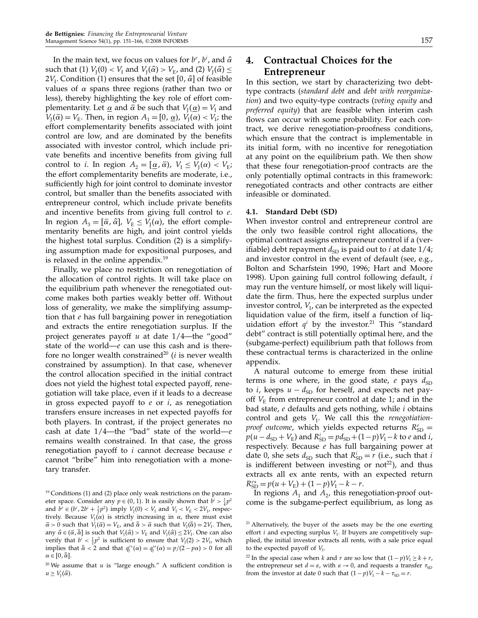In the main text, we focus on values for  $b^e$ ,  $b^i$ , and  $\hat{\alpha}$ such that (1)  $V_{\text{I}}(0) < V_{\text{I}}$  and  $V_{\text{I}}(\hat{\alpha}) > V_{\text{E}}$ , and (2)  $V_{\text{I}}(\hat{\alpha}) \leq$  $2V_I$ . Condition (1) ensures that the set [0,  $\hat{\alpha}$ ] of feasible values of  $\alpha$  spans three regions (rather than two or less), thereby highlighting the key role of effort complementarity. Let  $\underline{\alpha}$  and  $\overline{\alpha}$  be such that  $V_1(\underline{\alpha}) = V_1$  and  $V_{\rm J}(\bar{\alpha})=V_{\rm E}$ . Then, in region  $A_{\rm 1}=[0,\,\underline{\alpha})$ ,  $V_{\rm J}(\alpha)< V_{\rm I}$ ; the effort complementarity benefits associated with joint control are low, and are dominated by the benefits associated with investor control, which include private benefits and incentive benefits from giving full control to *i*. In region  $A_2 = [\underline{\alpha}, \overline{\alpha})$ ,  $V_I \leq V_J(\alpha) < V_E$ ; the effort complementarity benefits are moderate, i.e., sufficiently high for joint control to dominate investor control, but smaller than the benefits associated with entrepreneur control, which include private benefits and incentive benefits from giving full control to  $e$ . In region  $A_3 = [\bar{\alpha}, \hat{\alpha}], V_E \leq V_J(\alpha)$ , the effort complementarity benefits are high, and joint control yields the highest total surplus. Condition (2) is a simplifying assumption made for expositional purposes, and is relaxed in the online appendix. $19$ 

Finally, we place no restriction on renegotiation of the allocation of control rights. It will take place on the equilibrium path whenever the renegotiated outcome makes both parties weakly better off. Without loss of generality, we make the simplifying assumption that  $e$  has full bargaining power in renegotiation and extracts the entire renegotiation surplus. If the project generates payoff  $u$  at date  $1/4$ —the "good" state of the world— $e$  can use this cash and is therefore no longer wealth constrained<sup>20</sup> ( $i$  is never wealth constrained by assumption). In that case, whenever the control allocation specified in the initial contract does not yield the highest total expected payoff, renegotiation will take place, even if it leads to a decrease in gross expected payoff to  $e$  or  $i$ , as renegotiation transfers ensure increases in net expected payoffs for both players. In contrast, if the project generates no cash at date  $1/4$ —the "bad" state of the world—e remains wealth constrained. In that case, the gross renegotiation payoff to  $i$  cannot decrease because  $e$ cannot "bribe" him into renegotiation with a monetary transfer.

## 4. Contractual Choices for the Entrepreneur

In this section, we start by characterizing two debttype contracts (standard debt and debt with reorganization) and two equity-type contracts (voting equity and preferred equity) that are feasible when interim cash flows can occur with some probability. For each contract, we derive renegotiation-proofness conditions, which ensure that the contract is implementable in its initial form, with no incentive for renegotiation at any point on the equilibrium path. We then show that these four renegotiation-proof contracts are the only potentially optimal contracts in this framework: renegotiated contracts and other contracts are either infeasible or dominated.

#### 4.1. Standard Debt (SD)

When investor control and entrepreneur control are the only two feasible control right allocations, the optimal contract assigns entrepreneur control if a (verifiable) debt repayment  $d_{SD}$  is paid out to *i* at date  $1/4$ ; and investor control in the event of default (see, e.g., Bolton and Scharfstein 1990, 1996; Hart and Moore 1998). Upon gaining full control following default, *i* may run the venture himself, or most likely will liquidate the firm. Thus, here the expected surplus under investor control,  $V_I$ , can be interpreted as the expected liquidation value of the firm, itself a function of liquidation effort  $q^i$  by the investor.<sup>21</sup> This "standard debt" contract is still potentially optimal here, and the (subgame-perfect) equilibrium path that follows from these contractual terms is characterized in the online appendix.

A natural outcome to emerge from these initial terms is one where, in the good state,  $e$  pays  $d_{SD}$ to *i*, keeps  $u - d_{SD}$  for herself, and expects net payoff  $V<sub>E</sub>$  from entrepreneur control at date 1; and in the bad state, e defaults and gets nothing, while i obtains control and gets  $V_I$ . We call this the renegotiation*proof outcome,* which yields expected returns  $R_{SD}^e =$  $p(u - d_{SD} + V_E)$  and  $R_{SD}^i = pd_{SD} + (1 - p)V_I - k$  to *e* and *i*, respectively. Because  $e$  has full bargaining power at date 0, she sets  $d_{SD}$  such that  $R_{SD}^i = r$  (i.e., such that *i* is indifferent between investing or not<sup>22</sup>), and thus extracts all ex ante rents, with an expected return  $R_{\rm SD}^{e*} = p(u + V_{\rm E}) + (1-p)V_{\rm I} - k - r.$ 

In regions  $A_1$  and  $A_2$ , this renegotiation-proof outcome is the subgame-perfect equilibrium, as long as

<sup>&</sup>lt;sup>19</sup> Conditions (1) and (2) place only weak restrictions on the parameter space. Consider any  $p \in (0, 1)$ . It is easily shown that  $b^i > \frac{1}{4}p^2$ and  $b^e \in (b^i, 2b^i + \frac{1}{2}p^2)$  imply  $V_J(0) < V_I$  and  $V_I < V_E < 2V_I$ , respectively. Because  $V_1(\alpha)$  is strictly increasing in  $\alpha$ , there must exist  $\bar{\alpha} > 0$  such that  $V_J(\bar{\alpha}) = V_E$ , and  $\bar{\bar{\alpha}} > \bar{\alpha}$  such that  $V_J(\bar{\alpha}) = 2V_I$ . Then, any  $\hat{\alpha} \in (\bar{\alpha}, \bar{\bar{\alpha}}]$  is such that  $V_J(\hat{\alpha}) > V_E$  and  $V_J(\hat{\alpha}) \leq 2V_I$ . One can also verify that  $b^i$  <  $\frac{1}{2}p^2$  is sufficient to ensure that  $V_J(2) > 2V_{I}$ , which implies that  $\bar{\bar{\alpha}} < 2$  and that  $q_f^{e*}(\alpha) = q_f^{i*}(\alpha) = p/(2 - p\alpha) > 0$  for all  $\alpha \in [0, \bar{\bar{\alpha}}].$ 

 $20$  We assume that *u* is "large enough." A sufficient condition is  $u \geq V_{\rm I}(\hat{\alpha})$ .

 $21$  Alternatively, the buyer of the assets may be the one exerting effort  $i$  and expecting surplus  $V<sub>I</sub>$ . If buyers are competitively supplied, the initial investor extracts all rents, with a sale price equal to the expected payoff of  $V_1$ .

<sup>&</sup>lt;sup>22</sup> In the special case when *k* and *r* are so low that  $(1-p)V_1 \ge k+r$ , the entrepreneur set  $d = \varepsilon$ , with  $\varepsilon \to 0$ , and requests a transfer  $\tau_{SD}$ from the investor at date 0 such that  $(1 - p)V_1 - k - \tau_{SD} = r$ .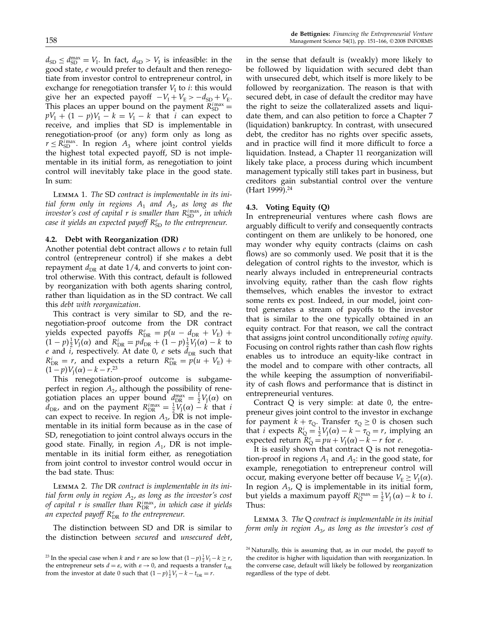$d_{SD} \leq d_{SD}^{\max} = V_I$ . In fact,  $d_{SD} > V_I$  is infeasible: in the good state, e would prefer to default and then renegotiate from investor control to entrepreneur control, in exchange for renegotiation transfer  $V<sub>I</sub>$  to *i*: this would give her an expected payoff  $-V_I + V_E > -d_{SD} + V_E$ . This places an upper bound on the payment  $R_{SD}^{i_{max}} =$  $pV_1 + (1 - p)V_1 - k = V_1 - k$  that *i* can expect to receive, and implies that SD is implementable in renegotiation-proof (or any) form only as long as  $r \le R_{\rm SD}^{\rm i max}$ . In region  $A_3$  where joint control yields the highest total expected payoff, SD is not implementable in its initial form, as renegotiation to joint control will inevitably take place in the good state. In sum:

Lemma 1. The SD contract is implementable in its initial form only in regions  $A_1$  and  $A_2$ , as long as the investor's cost of capital  $r$  is smaller than  $R_{\rm SD}^{\rm i\,max}$ , in which case it yields an expected payoff  $R^\text{e}_\text{SD}$  to the entrepreneur.

#### 4.2. Debt with Reorganization (DR)

Another potential debt contract allows e to retain full control (entrepreneur control) if she makes a debt repayment  $d_{\text{DR}}$  at date 1/4, and converts to joint control otherwise. With this contract, default is followed by reorganization with both agents sharing control, rather than liquidation as in the SD contract. We call this debt with reorganization.

This contract is very similar to SD, and the renegotiation-proof outcome from the DR contract yields expected payoffs  $R_{DR}^e = p(u - d_{DR} + V_E) +$  $(1-p)\frac{1}{2}V_J(\alpha)$  and  $R_{\text{DR}}^i = pd_{\text{DR}} + (1-p)\frac{1}{2}V_J(\alpha) - k$  to e and i, respectively. At date 0, e sets  $d_{DR}$  such that  $R_{\text{DR}}^i = r$ , and expects a return  $R_{\text{DR}}^{e*} = p(u + V_{\text{E}}) + p$  $(1-p)V_{J}(\alpha) - k - r^{23}$ 

This renegotiation-proof outcome is subgameperfect in region  $A_2$ , although the possibility of renegotiation places an upper bound  $d_{\text{DR}}^{\text{max}} = \frac{1}{2}V_J(\alpha)$  on  $d_{\text{DR}}$ , and on the payment  $R_{\text{DR}}^{\text{i max}} = \frac{1}{2}V_{\text{J}}(\alpha) - k$  that i can expect to receive. In region  $A_3$ , DR is not implementable in its initial form because as in the case of SD, renegotiation to joint control always occurs in the good state. Finally, in region  $A_1$ , DR is not implementable in its initial form either, as renegotiation from joint control to investor control would occur in the bad state. Thus:

Lemma 2. The DR contract is implementable in its initial form only in region  $A_2$ , as long as the investor's cost of capital  $r$  is smaller than  $R_{\text{DR}}^{i\text{max}}$ , in which case it yields an expected payoff  $R_{\text{DR}}^e$  to the entrepreneur.

The distinction between SD and DR is similar to the distinction between secured and unsecured debt, in the sense that default is (weakly) more likely to be followed by liquidation with secured debt than with unsecured debt, which itself is more likely to be followed by reorganization. The reason is that with secured debt, in case of default the creditor may have the right to seize the collateralized assets and liquidate them, and can also petition to force a Chapter 7 (liquidation) bankruptcy. In contrast, with unsecured debt, the creditor has no rights over specific assets, and in practice will find it more difficult to force a liquidation. Instead, a Chapter 11 reorganization will likely take place, a process during which incumbent management typically still takes part in business, but creditors gain substantial control over the venture (Hart 1999).<sup>24</sup>

#### 4.3. Voting Equity (Q)

In entrepreneurial ventures where cash flows are arguably difficult to verify and consequently contracts contingent on them are unlikely to be honored, one may wonder why equity contracts (claims on cash flows) are so commonly used. We posit that it is the delegation of control rights to the investor, which is nearly always included in entrepreneurial contracts involving equity, rather than the cash flow rights themselves, which enables the investor to extract some rents ex post. Indeed, in our model, joint control generates a stream of payoffs to the investor that is similar to the one typically obtained in an equity contract. For that reason, we call the contract that assigns joint control unconditionally voting equity. Focusing on control rights rather than cash flow rights enables us to introduce an equity-like contract in the model and to compare with other contracts, all the while keeping the assumption of nonverifiability of cash flows and performance that is distinct in entrepreneurial ventures.

Contract Q is very simple: at date 0, the entrepreneur gives joint control to the investor in exchange for payment  $k + \tau_Q$ . Transfer  $\tau_Q \geq 0$  is chosen such that *i* expects  $R_{\text{Q}}^i = \frac{1}{2}V_J(\alpha) - k - \tau_{\text{Q}} = r$ , implying an expected return  $\overline{R}_{Q}^{e} = pu + V_{J}(\alpha) - k - r$  for  $e$ .

It is easily shown that contract  $Q$  is not renegotiation-proof in regions  $A_1$  and  $A_2$ : in the good state, for example, renegotiation to entrepreneur control will occur, making everyone better off because  $V_{\rm E} \geq V_{\rm I}(\alpha)$ . In region  $A_3$ , Q is implementable in its initial form, but yields a maximum payoff  $R_{\rm Q}^{\rm i max} = \frac{1}{2} V_{\rm J}(\alpha) - k$  to *i*. Thus:

LEMMA 3. The  $Q$  contract is implementable in its initial form only in region  $A_3$ , as long as the investor's cost of

<sup>&</sup>lt;sup>23</sup> In the special case when *k* and *r* are so low that  $(1-p)\frac{1}{2}V_j - k \ge r$ , the entrepreneur sets  $d = \varepsilon$ , with  $\varepsilon \to 0$ , and requests a transfer  $t_{DR}$ from the investor at date 0 such that  $(1-p)\frac{1}{2}V_J - k - t_{DR} = r$ .

 $24$  Naturally, this is assuming that, as in our model, the payoff to the creditor is higher with liquidation than with reorganization. In the converse case, default will likely be followed by reorganization regardless of the type of debt.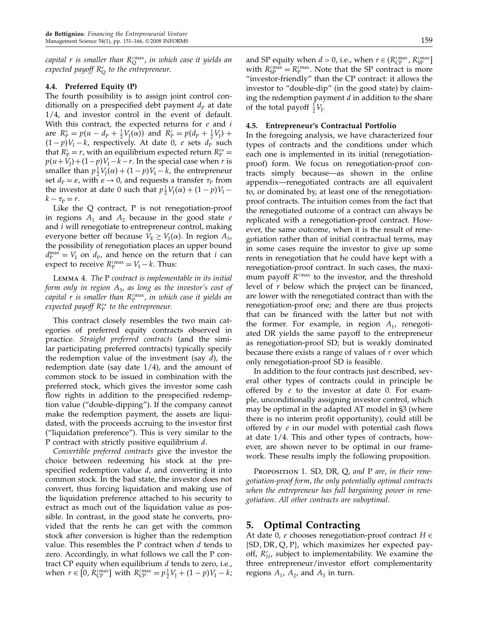capital  $r$  is smaller than  $R_\mathrm{Q}^\mathrm{i\,max}$ , in which case it yields an expected payoff  $R^e_{\mathrm{Q}}$  to the entrepreneur.

#### 4.4. Preferred Equity (P)

The fourth possibility is to assign joint control conditionally on a prespecified debt payment  $d_{\rm P}$  at date 1/4, and investor control in the event of default. With this contract, the expected returns for  $e$  and  $i$ are  $R_P^e = p(u - d_P + \frac{1}{2}V_J(\alpha))$  and  $R_P^i = p(d_P + \frac{1}{2}V_J) +$  $(1-p)V$ <sub>I</sub> − k, respectively. At date 0, e sets  $d$ <sub>P</sub> such that  $R_P^i = r$ , with an equilibrium expected return  $R_P^{e*} =$  $p(u+V_1)+(1-p)V_1-k-r$ . In the special case when r is smaller than  $p_{\frac{1}{2}}V_{J}(\alpha) + (1-p)V_{I} - k$ , the entrepreneur set  $d_p = \varepsilon$ , with  $\varepsilon \to 0$ , and requests a transfer  $\tau_p$  from the investor at date 0 such that  $p^1 \frac{1}{2} V_J(\alpha) + (1-p) V_I$  –  $k - \tau_{\rm p} = r$ .

Like the Q contract, P is not renegotiation-proof in regions  $A_1$  and  $A_2$  because in the good state e and  $i$  will renegotiate to entrepreneur control, making everyone better off because  $V_{\rm E} \geq V_{\rm I}(\alpha)$ . In region  $A_3$ , the possibility of renegotiation places an upper bound  $d_P^{\max} = V_1$  on  $d_P$ , and hence on the return that *i* can expect to receive  $R_P^{i \max} = V_I - k$ . Thus:

Lemma 4. The P contract is implementable in its initial form only in region  $A_3$ , as long as the investor's cost of capital  $r$  is smaller than  $R_{\rm P}^{\rm i \, max}$ , in which case it yields an expected payoff  $R^{e*}_{\rm P}$  to the entrepreneur.

This contract closely resembles the two main categories of preferred equity contracts observed in practice. Straight preferred contracts (and the similar participating preferred contracts) typically specify the redemption value of the investment (say  $d$ ), the redemption date (say date 1/4), and the amount of common stock to be issued in combination with the preferred stock, which gives the investor some cash flow rights in addition to the prespecified redemption value ("double-dipping"). If the company cannot make the redemption payment, the assets are liquidated, with the proceeds accruing to the investor first ("liquidation preference"). This is very similar to the P contract with strictly positive equilibrium d.

Convertible preferred contracts give the investor the choice between redeeming his stock at the prespecified redemption value  $d$ , and converting it into common stock. In the bad state, the investor does not convert, thus forcing liquidation and making use of the liquidation preference attached to his security to extract as much out of the liquidation value as possible. In contrast, in the good state he converts, provided that the rents he can get with the common stock after conversion is higher than the redemption value. This resembles the  $P$  contract when  $d$  tends to zero. Accordingly, in what follows we call the P contract CP equity when equilibrium d tends to zero, i.e., when  $r \in [0, R_{\text{CP}}^{\text{imax}}]$  with  $R_{\text{CP}}^{\text{imax}} = p_{\frac{1}{2}} V_J + (1 - p) V_I - k$ ;

and SP equity when  $d > 0$ , i.e., when  $r \in (R_{\text{CP}}^{\text{imax}}, R_{\text{SP}}^{\text{imax}}]$ with  $R_{\rm SP}^{\rm imax} = R_{\rm P}^{\rm imax}$ . Note that the SP contract is more "investor-friendly" than the CP contract: it allows the investor to "double-dip" (in the good state) by claiming the redemption payment  $d$  in addition to the share of the total payoff  $\frac{1}{2}V_J$ .

#### 4.5. Entrepreneur's Contractual Portfolio

In the foregoing analysis, we have characterized four types of contracts and the conditions under which each one is implemented in its initial (renegotiationproof) form. We focus on renegotiation-proof contracts simply because—as shown in the online appendix—renegotiated contracts are all equivalent to, or dominated by, at least one of the renegotiationproof contracts. The intuition comes from the fact that the renegotiated outcome of a contract can always be replicated with a renegotiation-proof contract. However, the same outcome, when it is the result of renegotiation rather than of initial contractual terms, may in some cases require the investor to give up some rents in renegotiation that he could have kept with a renegotiation-proof contract. In such cases, the maximum payoff  $R^{imax}$  to the investor, and the threshold level of  $r$  below which the project can be financed, are lower with the renegotiated contract than with the renegotiation-proof one; and there are thus projects that can be financed with the latter but not with the former. For example, in region  $A_1$ , renegotiated DR yields the same payoff to the entrepreneur as renegotiation-proof SD; but is weakly dominated because there exists a range of values of  $r$  over which only renegotiation-proof SD is feasible.

In addition to the four contracts just described, several other types of contracts could in principle be offered by  $e$  to the investor at date 0. For example, unconditionally assigning investor control, which may be optimal in the adapted AT model in §3 (where there is no interim profit opportunity), could still be offered by  $e$  in our model with potential cash flows at date 1/4. This and other types of contracts, however, are shown never to be optimal in our framework. These results imply the following proposition.

PROPOSITION 1. SD, DR, Q, and P are, in their renegotiation-proof form, the only potentially optimal contracts when the entrepreneur has full bargaining power in renegotiation. All other contracts are suboptimal.

## 5. Optimal Contracting

At date 0, *e* chooses renegotiation-proof contract  $H \in$ SD DR Q P, which maximizes her expected payoff,  $R_H^e$ , subject to implementability. We examine the three entrepreneur/investor effort complementarity regions  $A_1$ ,  $A_2$ , and  $A_3$  in turn.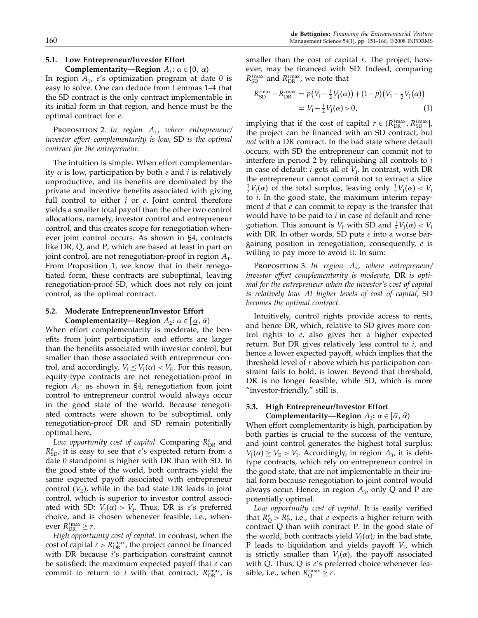#### 5.1. Low Entrepreneur/Investor Effort

Complementarity—Region  $A_1$ :  $\alpha \in [0, \underline{\alpha})$ In region  $A_1$ , e's optimization program at date 0 is easy to solve. One can deduce from Lemmas 1–4 that the SD contract is the only contract implementable in its initial form in that region, and hence must be the optimal contract for e.

PROPOSITION 2. In region  $A_1$ , where entrepreneur/ investor effort complementarity is low, SD is the optimal contract for the entrepreneur.

The intuition is simple. When effort complementarity  $\alpha$  is low, participation by both e and i is relatively unproductive, and its benefits are dominated by the private and incentive benefits associated with giving full control to either  $i$  or  $e$ . Joint control therefore yields a smaller total payoff than the other two control allocations, namely, investor control and entrepreneur control, and this creates scope for renegotiation whenever joint control occurs. As shown in §4, contracts like DR, Q, and P, which are based at least in part on joint control, are not renegotiation-proof in region  $A_1$ . From Proposition 1, we know that in their renegotiated form, these contracts are suboptimal, leaving renegotiation-proof SD, which does not rely on joint control, as the optimal contract.

## 5.2. Moderate Entrepreneur/Investor Effort

Complementarity—Region  $A_2$ :  $\alpha \in [\underline{\alpha}, \overline{\alpha})$ When effort complementarity is moderate, the benefits from joint participation and efforts are larger than the benefits associated with investor control, but smaller than those associated with entrepreneur control, and accordingly,  $V_{\rm I} \leq V_{\rm I}(\alpha) < V_{\rm E}$ . For this reason, equity-type contracts are not renegotiation-proof in region  $A_2$ : as shown in §4, renegotiation from joint control to entrepreneur control would always occur in the good state of the world. Because renegotiated contracts were shown to be suboptimal, only renegotiation-proof DR and SD remain potentially optimal here.

Low opportunity cost of capital. Comparing  $R_{\text{DR}}^e$  and  $R_{\textrm{SD}}^e$ , it is easy to see that  $e^e$ s expected return from a date 0 standpoint is higher with DR than with SD. In the good state of the world, both contracts yield the same expected payoff associated with entrepreneur control  $(V_{\rm E})$ , while in the bad state DR leads to joint control, which is superior to investor control associated with SD:  $V_{I}(\alpha) > V_{I}$ . Thus, DR is e's preferred choice, and is chosen whenever feasible, i.e., whenever  $R_{\text{DR}}^{i \text{max}} \geq r$ .

High opportunity cost of capital. In contrast, when the cost of capital  $r > R_{\text{DR}}^{\text{imax}}$ , the project cannot be financed with DR because  $i$ 's participation constraint cannot be satisfied: the maximum expected payoff that  $e$  can commit to return to i with that contract,  $R_{\text{DR}}^{i_{\text{max}}}$ , is smaller than the cost of capital  $r$ . The project, however, may be financed with SD. Indeed, comparing  $R_{\rm SD}^{i \, {\rm max}}$  and  $R_{\rm DR}^{i \, {\rm max}}$ , we note that

$$
R_{\rm SD}^{\rm imax} - R_{\rm DR}^{\rm imax} = p\big(V_1 - \frac{1}{2}V_J(\alpha)\big) + (1 - p)\big(V_1 - \frac{1}{2}V_J(\alpha)\big) \\ = V_1 - \frac{1}{2}V_J(\alpha) > 0,\tag{1}
$$

implying that if the cost of capital  $r \in (R_{\text{DR}}^{i_{\text{max}}}, R_{\text{SD}}^{i_{\text{max}}}]$ , the project can be financed with an SD contract, but not with a DR contract. In the bad state where default occurs, with SD the entrepreneur can commit not to interfere in period 2 by relinquishing all controls to  $i$ in case of default:  $i$  gets all of  $V<sub>I</sub>$ . In contrast, with DR the entrepreneur cannot commit not to extract a slice  $\frac{1}{2}V_J(\alpha)$  of the total surplus, leaving only  $\frac{1}{2}V_J(\alpha) < V_I$ to i. In the good state, the maximum interim repayment  $d$  that  $e$  can commit to repay is the transfer that would have to be paid to  $i$  in case of default and renegotiation. This amount is  $V_1$  with SD and  $\frac{1}{2}V_J(\alpha) < V_I$ with DR. In other words, SD puts  $e$  into a worse bargaining position in renegotiation; consequently, e is willing to pay more to avoid it. In sum:

PROPOSITION 3. In region  $A_2$ , where entrepreneur/ investor effort complementarity is moderate, DR is optimal for the entrepreneur when the investor's cost of capital is relatively low. At higher levels of cost of capital, SD becomes the optimal contract.

Intuitively, control rights provide access to rents, and hence DR, which, relative to SD gives more control rights to e, also gives her a higher expected return. But DR gives relatively less control to  $i$ , and hence a lower expected payoff, which implies that the threshold level of r above which his participation constraint fails to hold, is lower. Beyond that threshold, DR is no longer feasible, while SD, which is more "investor-friendly," still is.

## 5.3. High Entrepreneur/Investor Effort

Complementarity—Region  $A_3$ :  $\alpha \in [\bar{\alpha}, \hat{\alpha})$ When effort complementarity is high, participation by both parties is crucial to the success of the venture, and joint control generates the highest total surplus:  $V_I(\alpha) \geq V_E > V_I$ . Accordingly, in region  $A_3$ , it is debttype contracts, which rely on entrepreneur control in the good state, that are not implementable in their initial form because renegotiation to joint control would always occur. Hence, in region  $A_3$ , only Q and P are potentially optimal.

Low opportunity cost of capital. It is easily verified that  $R_{\rm Q}^e > R_{\rm P}^e$ , i.e., that  $e$  expects a higher return with contract Q than with contract P. In the good state of the world, both contracts yield  $V_{\rm I}(\alpha)$ ; in the bad state, P leads to liquidation and yields payoff  $V_I$ , which is strictly smaller than  $V_I(\alpha)$ , the payoff associated with Q. Thus, Q is  $e'$ s preferred choice whenever feasible, i.e., when  $R_Q^{i_{\text{max}}} \geq r$ .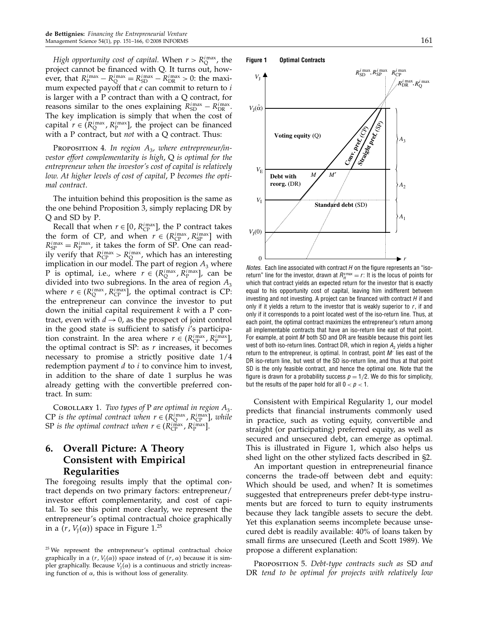*High opportunity cost of capital.* When  $r > R_Q^{\text{i max}}$ , the project cannot be financed with Q. It turns out, however, that  $R_P^{i_{\text{max}}} - R_Q^{i_{\text{max}}} = R_{SD}^{i_{\text{max}}} - R_{DR}^{i_{\text{max}}} > 0$ : the maximum expected payoff that  $e$  can commit to return to  $i$ is larger with a P contract than with a Q contract, for reasons similar to the ones explaining  $R_{SD}^{i_{\text{max}}} - R_{DR}^{i_{\text{max}}}$ . The key implication is simply that when the cost of capital  $r \in (R_Q^{\text{imax}}, R_P^{\text{imax}})$ , the project can be financed with a P contract, but *not* with a Q contract. Thus:

PROPOSITION 4. In region  $A_3$ , where entrepreneur/investor effort complementarity is high, Q is optimal for the entrepreneur when the investor's cost of capital is relatively low. At higher levels of cost of capital, P becomes the optimal contract.

The intuition behind this proposition is the same as the one behind Proposition 3, simply replacing DR by Q and SD by P.

Recall that when  $r \in [0, R_{\text{CP}}^{\text{imax}}]$ , the P contract takes the form of CP, and when  $r \in (R_{\text{CP}}^{\text{imax}}, R_{\text{SP}}^{\text{imax}}]$  with  $R_{\rm SP}^{\rm imax} = R_{\rm P}^{\rm imax}$ , it takes the form of SP. One can readily verify that  $R_{\rm CP}^{\rm imax} > R_{\rm Q}^{\rm imax}$ , which has an interesting implication in our model. The part of region  $A_3$  where P is optimal, i.e., where  $r \in (R_Q^{\text{imax}}, R_P^{\text{imax}})$ , can be divided into two subregions. In the area of region  $A_3$ where  $r \in (R_{\rm Q}^{\rm i max}, R_{\rm CP}^{\rm i max}]$ , the optimal contract is CP: the entrepreneur can convince the investor to put down the initial capital requirement  $k$  with a P contract, even with  $d \rightarrow 0$ , as the prospect of joint control in the good state is sufficient to satisfy i's participation constraint. In the area where  $r \in (R_{\rm CP}^{\rm imax}, R_{\rm P}^{\rm imax}]$ , the optimal contract is  $SP:$  as  $r$  increases, it becomes necessary to promise a strictly positive date 1/4 redemption payment  $d$  to  $i$  to convince him to invest, in addition to the share of date 1 surplus he was already getting with the convertible preferred contract. In sum:

COROLLARY 1. Two types of P are optimal in region  $A_3$ . CP is the optimal contract when  $r \in (R_Q^{\text{i max}}, R_{\text{CP}}^{\text{i max}}]$ , while SP is the optimal contract when  $r \in (R_{\rm CP}^{\rm imax}, R_{\rm P}^{\rm imax}]$ .

## 6. Overall Picture: A Theory Consistent with Empirical Regularities

The foregoing results imply that the optimal contract depends on two primary factors: entrepreneur/ investor effort complementarity, and cost of capital. To see this point more clearly, we represent the entrepreneur's optimal contractual choice graphically in a ( $r$ ,  $V_{\rm J}(\alpha)$ ) space in Figure  $1.^{25}$ 



Notes. Each line associated with contract  $H$  on the figure represents an "isoreturn" line for the investor, drawn at  $R_{H}^{smax} = r$ : It is the locus of points for which that contract yields an expected return for the investor that is exactly equal to his opportunity cost of capital, leaving him indifferent between investing and not investing. A project can be financed with contract  $H$  if and only if it yields a return to the investor that is weakly superior to  $r$ , if and only if it corresponds to a point located west of the iso-return line. Thus, at each point, the optimal contract maximizes the entrepreneur's return among all implementable contracts that have an iso-return line east of that point. For example, at point M both SD and DR are feasible because this point lies west of both iso-return lines. Contract DR, which in region  $A<sub>2</sub>$  yields a higher return to the entrepreneur, is optimal. In contrast, point  $M'$  lies east of the DR iso-return line, but west of the SD iso-return line, and thus at that point SD is the only feasible contract, and hence the optimal one. Note that the figure is drawn for a probability success  $p = 1/2$ . We do this for simplicity, but the results of the paper hold for all  $0 < p < 1$ .

Consistent with Empirical Regularity 1, our model predicts that financial instruments commonly used in practice, such as voting equity, convertible and straight (or participating) preferred equity, as well as secured and unsecured debt, can emerge as optimal. This is illustrated in Figure 1, which also helps us shed light on the other stylized facts described in §2.

An important question in entrepreneurial finance concerns the trade-off between debt and equity: Which should be used, and when? It is sometimes suggested that entrepreneurs prefer debt-type instruments but are forced to turn to equity instruments because they lack tangible assets to secure the debt. Yet this explanation seems incomplete because unsecured debt is readily available: 40% of loans taken by small firms are unsecured (Leeth and Scott 1989). We propose a different explanation:

PROPOSITION 5. Debt-type contracts such as SD and DR tend to be optimal for projects with relatively low

 $25$  We represent the entrepreneur's optimal contractual choice graphically in a  $(r, V_J(\alpha))$  space instead of  $(r, \alpha)$  because it is simpler graphically. Because  $V_1(\alpha)$  is a continuous and strictly increasing function of  $\alpha$ , this is without loss of generality.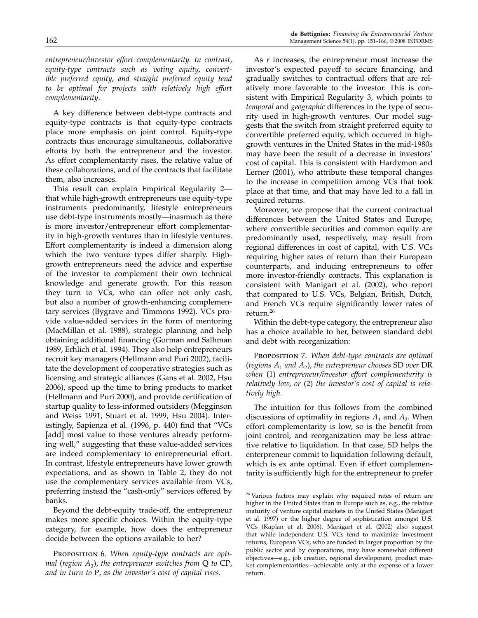entrepreneur/investor effort complementarity. In contrast, equity-type contracts such as voting equity, convertible preferred equity, and straight preferred equity tend to be optimal for projects with relatively high effort complementarity.

A key difference between debt-type contracts and equity-type contracts is that equity-type contracts place more emphasis on joint control. Equity-type contracts thus encourage simultaneous, collaborative efforts by both the entrepreneur and the investor. As effort complementarity rises, the relative value of these collaborations, and of the contracts that facilitate them, also increases.

This result can explain Empirical Regularity 2 that while high-growth entrepreneurs use equity-type instruments predominantly, lifestyle entrepreneurs use debt-type instruments mostly—inasmuch as there is more investor/entrepreneur effort complementarity in high-growth ventures than in lifestyle ventures. Effort complementarity is indeed a dimension along which the two venture types differ sharply. Highgrowth entrepreneurs need the advice and expertise of the investor to complement their own technical knowledge and generate growth. For this reason they turn to VCs, who can offer not only cash, but also a number of growth-enhancing complementary services (Bygrave and Timmons 1992). VCs provide value-added services in the form of mentoring (MacMillan et al. 1988), strategic planning and help obtaining additional financing (Gorman and Salhman 1989, Erhlich et al. 1994). They also help entrepreneurs recruit key managers (Hellmann and Puri 2002), facilitate the development of cooperative strategies such as licensing and strategic alliances (Gans et al. 2002, Hsu 2006), speed up the time to bring products to market (Hellmann and Puri 2000), and provide certification of startup quality to less-informed outsiders (Megginson and Weiss 1991, Stuart et al. 1999, Hsu 2004). Interestingly, Sapienza et al. (1996, p. 440) find that "VCs [add] most value to those ventures already performing well," suggesting that these value-added services are indeed complementary to entrepreneurial effort. In contrast, lifestyle entrepreneurs have lower growth expectations, and as shown in Table 2, they do not use the complementary services available from VCs, preferring instead the "cash-only" services offered by banks.

Beyond the debt-equity trade-off, the entrepreneur makes more specific choices. Within the equity-type category, for example, how does the entrepreneur decide between the options available to her?

PROPOSITION 6. When equity-type contracts are optimal (region  $A_3$ ), the entrepreneur switches from Q to CP, and in turn to P, as the investor's cost of capital rises.

As  $r$  increases, the entrepreneur must increase the investor's expected payoff to secure financing, and gradually switches to contractual offers that are relatively more favorable to the investor. This is consistent with Empirical Regularity 3, which points to temporal and geographic differences in the type of security used in high-growth ventures. Our model suggests that the switch from straight preferred equity to convertible preferred equity, which occurred in highgrowth ventures in the United States in the mid-1980s may have been the result of a decrease in investors' cost of capital. This is consistent with Hardymon and Lerner (2001), who attribute these temporal changes to the increase in competition among VCs that took place at that time, and that may have led to a fall in required returns.

Moreover, we propose that the current contractual differences between the United States and Europe, where convertible securities and common equity are predominantly used, respectively, may result from regional differences in cost of capital, with U.S. VCs requiring higher rates of return than their European counterparts, and inducing entrepreneurs to offer more investor-friendly contracts. This explanation is consistent with Manigart et al. (2002), who report that compared to U.S. VCs, Belgian, British, Dutch, and French VCs require significantly lower rates of return.<sup>26</sup>

Within the debt-type category, the entrepreneur also has a choice available to her, between standard debt and debt with reorganization:

PROPOSITION 7. When debt-type contracts are optimal (regions  $A_1$  and  $A_2$ ), the entrepreneur chooses SD over DR when (1) entrepreneur/investor effort complementarity is relatively low, or (2) the investor's cost of capital is relatively high.

The intuition for this follows from the combined discussions of optimality in regions  $A_1$  and  $A_2$ . When effort complementarity is low, so is the benefit from joint control, and reorganization may be less attractive relative to liquidation. In that case, SD helps the enterpreneur commit to liquidation following default, which is ex ante optimal. Even if effort complementarity is sufficiently high for the entrepreneur to prefer

<sup>&</sup>lt;sup>26</sup> Various factors may explain why required rates of return are higher in the United States than in Europe such as, e.g., the relative maturity of venture capital markets in the United States (Manigart et al. 1997) or the higher degree of sophistication amongst U.S. VCs (Kaplan et al. 2006). Manigart et al. (2002) also suggest that while independent U.S. VCs tend to maximize investment returns, European VCs, who are funded in larger proportion by the public sector and by corporations, may have somewhat different objectives—e.g., job creation, regional development, product market complementarities—achievable only at the expense of a lower return.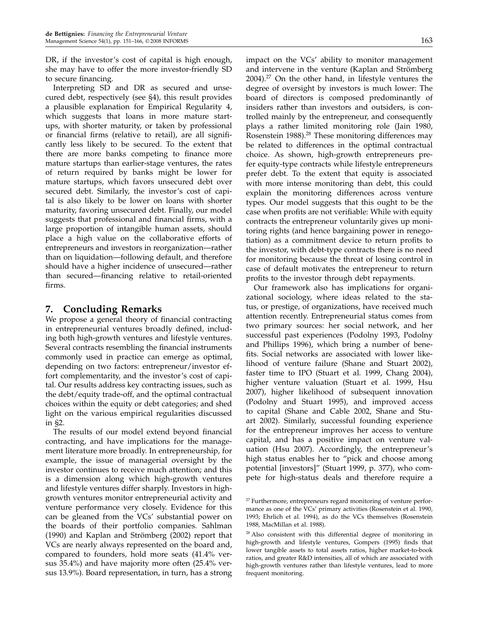DR, if the investor's cost of capital is high enough, she may have to offer the more investor-friendly SD to secure financing.

Interpreting SD and DR as secured and unsecured debt, respectively (see §4), this result provides a plausible explanation for Empirical Regularity 4, which suggests that loans in more mature startups, with shorter maturity, or taken by professional or financial firms (relative to retail), are all significantly less likely to be secured. To the extent that there are more banks competing to finance more mature startups than earlier-stage ventures, the rates of return required by banks might be lower for mature startups, which favors unsecured debt over secured debt. Similarly, the investor's cost of capital is also likely to be lower on loans with shorter maturity, favoring unsecured debt. Finally, our model suggests that professional and financial firms, with a large proportion of intangible human assets, should place a high value on the collaborative efforts of entrepreneurs and investors in reorganization—rather than on liquidation—following default, and therefore should have a higher incidence of unsecured—rather than secured—financing relative to retail-oriented firms.

## 7. Concluding Remarks

We propose a general theory of financial contracting in entrepreneurial ventures broadly defined, including both high-growth ventures and lifestyle ventures. Several contracts resembling the financial instruments commonly used in practice can emerge as optimal, depending on two factors: entrepreneur/investor effort complementarity, and the investor's cost of capital. Our results address key contracting issues, such as the debt/equity trade-off, and the optimal contractual choices within the equity or debt categories; and shed light on the various empirical regularities discussed in §2.

The results of our model extend beyond financial contracting, and have implications for the management literature more broadly. In entrepreneurship, for example, the issue of managerial oversight by the investor continues to receive much attention; and this is a dimension along which high-growth ventures and lifestyle ventures differ sharply. Investors in highgrowth ventures monitor entrepreneurial activity and venture performance very closely. Evidence for this can be gleaned from the VCs' substantial power on the boards of their portfolio companies. Sahlman (1990) and Kaplan and Strömberg (2002) report that VCs are nearly always represented on the board and, compared to founders, hold more seats (41.4% versus 35.4%) and have majority more often (25.4% versus 13.9%). Board representation, in turn, has a strong

impact on the VCs' ability to monitor management and intervene in the venture (Kaplan and Strömberg  $2004$ ).<sup>27</sup> On the other hand, in lifestyle ventures the degree of oversight by investors is much lower: The board of directors is composed predominantly of insiders rather than investors and outsiders, is controlled mainly by the entrepreneur, and consequently plays a rather limited monitoring role (Jain 1980, Rosenstein 1988).<sup>28</sup> These monitoring differences may be related to differences in the optimal contractual choice. As shown, high-growth entrepreneurs prefer equity-type contracts while lifestyle entrepreneurs prefer debt. To the extent that equity is associated with more intense monitoring than debt, this could explain the monitoring differences across venture types. Our model suggests that this ought to be the case when profits are not verifiable: While with equity contracts the entrepreneur voluntarily gives up monitoring rights (and hence bargaining power in renegotiation) as a commitment device to return profits to the investor, with debt-type contracts there is no need for monitoring because the threat of losing control in case of default motivates the entrepreneur to return profits to the investor through debt repayments.

Our framework also has implications for organizational sociology, where ideas related to the status, or prestige, of organizations, have received much attention recently. Entrepreneurial status comes from two primary sources: her social network, and her successful past experiences (Podolny 1993, Podolny and Phillips 1996), which bring a number of benefits. Social networks are associated with lower likelihood of venture failure (Shane and Stuart 2002), faster time to IPO(Stuart et al. 1999, Chang 2004), higher venture valuation (Stuart et al. 1999, Hsu 2007), higher likelihood of subsequent innovation (Podolny and Stuart 1995), and improved access to capital (Shane and Cable 2002, Shane and Stuart 2002). Similarly, successful founding experience for the entrepreneur improves her access to venture capital, and has a positive impact on venture valuation (Hsu 2007). Accordingly, the entrepreneur's high status enables her to "pick and choose among potential [investors]" (Stuart 1999, p. 377), who compete for high-status deals and therefore require a

<sup>&</sup>lt;sup>27</sup> Furthermore, entrepreneurs regard monitoring of venture performance as one of the VCs' primary activities (Rosenstein et al. 1990, 1993; Ehrlich et al. 1994), as do the VCs themselves (Rosenstein 1988, MacMillan et al. 1988).

<sup>&</sup>lt;sup>28</sup> Also consistent with this differential degree of monitoring in high-growth and lifestyle ventures, Gompers (1995) finds that lower tangible assets to total assets ratios, higher market-to-book ratios, and greater R&D intensities, all of which are associated with high-growth ventures rather than lifestyle ventures, lead to more frequent monitoring.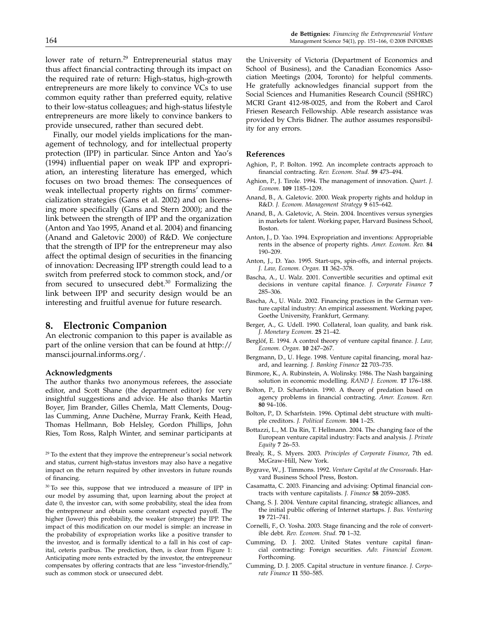lower rate of return.<sup>29</sup> Entrepreneurial status may thus affect financial contracting through its impact on the required rate of return: High-status, high-growth entrepreneurs are more likely to convince VCs to use common equity rather than preferred equity, relative to their low-status colleagues; and high-status lifestyle entrepreneurs are more likely to convince bankers to provide unsecured, rather than secured debt.

Finally, our model yields implications for the management of technology, and for intellectual property protection (IPP) in particular. Since Anton and Yao's (1994) influential paper on weak IPP and expropriation, an interesting literature has emerged, which focuses on two broad themes: The consequences of weak intellectual property rights on firms' commercialization strategies (Gans et al. 2002) and on licensing more specifically (Gans and Stern 2000); and the link between the strength of IPP and the organization (Anton and Yao 1995, Anand et al. 2004) and financing (Anand and Galetovic 2000) of R&D. We conjecture that the strength of IPP for the entrepreneur may also affect the optimal design of securities in the financing of innovation: Decreasing IPP strength could lead to a switch from preferred stock to common stock, and/or from secured to unsecured debt.<sup>30</sup> Formalizing the link between IPP and security design would be an interesting and fruitful avenue for future research.

### 8. Electronic Companion

An electronic companion to this paper is available as part of the online version that can be found at http:// mansci.journal.informs.org/.

#### Acknowledgments

The author thanks two anonymous referees, the associate editor, and Scott Shane (the department editor) for very insightful suggestions and advice. He also thanks Martin Boyer, Jim Brander, Gilles Chemla, Matt Clements, Douglas Cumming, Anne Duchêne, Murray Frank, Keith Head, Thomas Hellmann, Bob Helsley, Gordon Phillips, John Ries, Tom Ross, Ralph Winter, and seminar participants at

<sup>29</sup> To the extent that they improve the entrepreneur's social network and status, current high-status investors may also have a negative impact on the return required by other investors in future rounds of financing.

<sup>30</sup> To see this, suppose that we introduced a measure of IPP in our model by assuming that, upon learning about the project at date 0, the investor can, with some probability, steal the idea from the entrepreneur and obtain some constant expected payoff. The higher (lower) this probability, the weaker (stronger) the IPP. The impact of this modification on our model is simple: an increase in the probability of expropriation works like a positive transfer to the investor, and is formally identical to a fall in his cost of capital, ceteris paribus. The prediction, then, is clear from Figure 1: Anticipating more rents extracted by the investor, the entrepreneur compensates by offering contracts that are less "investor-friendly," such as common stock or unsecured debt.

the University of Victoria (Department of Economics and School of Business), and the Canadian Economics Association Meetings (2004, Toronto) for helpful comments. He gratefully acknowledges financial support from the Social Sciences and Humanities Research Council (SSHRC) MCRI Grant 412-98-0025, and from the Robert and Carol Friesen Research Fellowship. Able research assistance was provided by Chris Bidner. The author assumes responsibility for any errors.

#### References

- Aghion, P., P. Bolton. 1992. An incomplete contracts approach to financial contracting. Rev. Econom. Stud. 59 473–494.
- Aghion, P., J. Tirole. 1994. The management of innovation. Quart. J. Econom. 109 1185–1209.
- Anand, B., A. Galetovic. 2000. Weak property rights and holdup in R&D. J. Econom. Management Strategy 9 615–642.
- Anand, B., A. Galetovic, A. Stein. 2004. Incentives versus synergies in markets for talent. Working paper, Harvard Business School, Boston.
- Anton, J., D. Yao. 1994. Expropriation and inventions: Appropriable rents in the absence of property rights. Amer. Econom. Rev. 84 190–209.
- Anton, J., D. Yao. 1995. Start-ups, spin-offs, and internal projects. J. Law, Econom. Organ. 11 362–378.
- Bascha, A., U. Walz. 2001. Convertible securities and optimal exit decisions in venture capital finance. J. Corporate Finance 7 285–306.
- Bascha, A., U. Walz. 2002. Financing practices in the German venture capital industry: An empirical assessment. Working paper, Goethe University, Frankfurt, Germany.
- Berger, A., G. Udell. 1990. Collateral, loan quality, and bank risk. J. Monetary Econom. 25 21–42.
- Berglöf, E. 1994. A control theory of venture capital finance. J. Law, Econom. Organ. 10 247–267.
- Bergmann, D., U. Hege. 1998. Venture capital financing, moral hazard, and learning. J. Banking Finance 22 703–735.
- Binmore, K., A. Rubinstein, A. Wolinsky. 1986. The Nash bargaining solution in economic modelling. RAND J. Econom. 17 176-188.
- Bolton, P., D. Scharfstein. 1990. A theory of predation based on agency problems in financial contracting. Amer. Econom. Rev. 80 94–106.
- Bolton, P., D. Scharfstein. 1996. Optimal debt structure with multiple creditors. J. Political Econom. 104 1–25.
- Bottazzi, L., M. Da Rin, T. Hellmann. 2004. The changing face of the European venture capital industry: Facts and analysis. J. Private Equity 7 26–53.
- Brealy, R., S. Myers. 2003. Principles of Corporate Finance, 7th ed. McGraw-Hill, New York.
- Bygrave, W., J. Timmons. 1992. Venture Capital at the Crossroads. Harvard Business School Press, Boston.
- Casamatta, C. 2003. Financing and advising: Optimal financial contracts with venture capitalists. J. Finance 58 2059–2085.
- Chang, S. J. 2004. Venture capital financing, strategic alliances, and the initial public offering of Internet startups. J. Bus. Venturing 19 721–741.
- Cornelli, F., O. Yosha. 2003. Stage financing and the role of convertible debt. Rev. Econom. Stud. 70 1–32.
- Cumming, D. J. 2002. United States venture capital financial contracting: Foreign securities. Adv. Financial Econom. Forthcoming.
- Cumming, D. J. 2005. Capital structure in venture finance. J. Corporate Finance 11 550–585.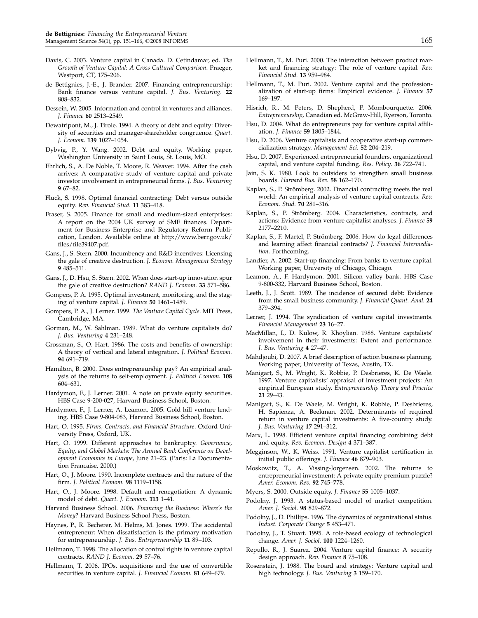- Davis, C. 2003. Venture capital in Canada. D. Cetindamar, ed. The Growth of Venture Capital: A Cross Cultural Comparison. Praeger, Westport, CT, 175–206.
- de Bettignies, J.-E., J. Brander. 2007. Financing entrepreneurship: Bank finance versus venture capital. J. Bus. Venturing. 22 808–832.
- Dessein, W. 2005. Information and control in ventures and alliances. J. Finance 60 2513–2549.
- Dewatripont, M., J. Tirole. 1994. A theory of debt and equity: Diversity of securities and manager-shareholder congruence. Quart. J. Econom. 139 1027–1054.
- Dybvig, P., Y. Wang. 2002. Debt and equity. Working paper, Washington University in Saint Louis, St. Louis, MO.
- Ehrlich, S., A. De Noble, T. Moore, R. Weaver. 1994. After the cash arrives: A comparative study of venture capital and private investor involvement in entrepreneurial firms. J. Bus. Venturing 9 67–82.
- Fluck, S. 1998. Optimal financial contracting: Debt versus outside equity. Rev. Financial Stud. 11 383–418.
- Fraser, S. 2005. Finance for small and medium-sized enterprises: A report on the 2004 UK survey of SME finances. Department for Business Enterprise and Regulatory Reform Publication, London. Available online at http://www.berr.gov.uk/ files/file39407.pdf.
- Gans, J., S. Stern. 2000. Incumbency and R&D incentives: Licensing the gale of creative destruction. J. Econom. Management Strategy 9 485–511.
- Gans, J., D. Hsu, S. Stern. 2002. When does start-up innovation spur the gale of creative destruction? RAND J. Econom. 33 571–586.
- Gompers, P. A. 1995. Optimal investment, monitoring, and the staging of venture capital. J. Finance 50 1461–1489.
- Gompers, P. A., J. Lerner. 1999. The Venture Capital Cycle. MIT Press, Cambridge, MA.
- Gorman, M., W. Sahlman. 1989. What do venture capitalists do? J. Bus. Venturing 4 231–248.
- Grossman, S., O. Hart. 1986. The costs and benefits of ownership: A theory of vertical and lateral integration. J. Political Econom. 94 691–719.
- Hamilton, B. 2000. Does entrepreneurship pay? An empirical analysis of the returns to self-employment. J. Political Econom. 108 604–631.
- Hardymon, F., J. Lerner. 2001. A note on private equity securities. HBS Case 9-200-027, Harvard Business School, Boston.
- Hardymon, F., J. Lerner, A. Leamon. 2005. Gold hill venture lending. HBS Case 9-804-083, Harvard Business School, Boston.
- Hart, O. 1995. Firms, Contracts, and Financial Structure. Oxford University Press, Oxford, UK.
- Hart, O. 1999. Different approaches to bankruptcy. Governance, Equity, and Global Markets: The Annual Bank Conference on Development Economics in Europe, June 21–23. (Paris: La Documentation Francaise, 2000.)
- Hart, O., J. Moore. 1990. Incomplete contracts and the nature of the firm. J. Political Econom. 98 1119–1158.
- Hart, O., J. Moore. 1998. Default and renegotiation: A dynamic model of debt. Quart. J. Econom. 113 1–41.
- Harvard Business School. 2006. Financing the Business: Where's the Money? Harvard Business School Press, Boston.
- Haynes, P., R. Becherer, M. Helms, M. Jones. 1999. The accidental entrepreneur: When dissatisfaction is the primary motivation for entrepreneurship. J. Bus. Entrepreneurship 11 89–103.
- Hellmann, T. 1998. The allocation of control rights in venture capital contracts. RAND J. Econom. 29 57–76.
- Hellmann, T. 2006. IPOs, acquisitions and the use of convertible securities in venture capital. J. Financial Econom. 81 649–679.
- Hellmann, T., M. Puri. 2000. The interaction between product market and financing strategy: The role of venture capital. Rev. Financial Stud. 13 959–984.
- Hellmann, T., M. Puri. 2002. Venture capital and the professionalization of start-up firms: Empirical evidence. J. Finance 57 169–197.
- Hisrich, R., M. Peters, D. Shepherd, P. Mombourquette. 2006. Entrepreneurship, Canadian ed. McGraw-Hill, Ryerson, Toronto.
- Hsu, D. 2004. What do entrepreneurs pay for venture capital affiliation. J. Finance 59 1805–1844.
- Hsu, D. 2006. Venture capitalists and cooperative start-up commercialization strategy. Management Sci. 52 204–219.
- Hsu, D. 2007. Experienced entrepreneurial founders, organizational capital, and venture capital funding. Res. Policy. 36 722–741.
- Jain, S. K. 1980. Look to outsiders to strengthen small business boards. Harvard Bus. Rev. 58 162–170.
- Kaplan, S., P. Strömberg. 2002. Financial contracting meets the real world: An empirical analysis of venture capital contracts. Rev. Econom. Stud. 70 281–316.
- Kaplan, S., P. Strömberg. 2004. Characteristics, contracts, and actions: Evidence from venture capitalist analyses. J. Finance 59 2177–2210.
- Kaplan, S., F. Martel, P. Strömberg. 2006. How do legal differences and learning affect financial contracts? J. Financial Intermediation. Forthcoming.
- Landier, A. 2002. Start-up financing: From banks to venture capital. Working paper, University of Chicago, Chicago.
- Leamon, A., F. Hardymon. 2001. Silicon valley bank. HBS Case 9-800-332, Harvard Business School, Boston.
- Leeth, J., J. Scott. 1989. The incidence of secured debt: Evidence from the small business community. J. Financial Quant. Anal. 24 379–394.
- Lerner, J. 1994. The syndication of venture capital investments. Financial Management 23 16–27.
- MacMillan, I., D. Kulow, R. Khoylian. 1988. Venture capitalists' involvement in their investments: Extent and performance. J. Bus. Venturing 4 27–47.
- Mahdjoubi, D. 2007. A brief description of action business planning. Working paper, University of Texas, Austin, TX.
- Manigart, S., M. Wright, K. Robbie, P. Desbrieres, K. De Waele. 1997. Venture capitalists' appraisal of investment projects: An empirical European study. Entrepreneurship Theory and Practice 21 29–43.
- Manigart, S., K. De Waele, M. Wright, K. Robbie, P. Desbrieres, H. Sapienza, A. Beekman. 2002. Determinants of required return in venture capital investments: A five-country study. J. Bus. Venturing 17 291–312.
- Marx, L. 1998. Efficient venture capital financing combining debt and equity. Rev. Econom. Design 4 371–387.
- Megginson, W., K. Weiss. 1991. Venture capitalist certification in initial public offerings. J. Finance 46 879–903.
- Moskowitz, T., A. Vissing-Jorgensen. 2002. The returns to entrepreneurial investment: A private equity premium puzzle? Amer. Econom. Rev. 92 745–778.
- Myers, S. 2000. Outside equity. J. Finance 55 1005–1037.
- Podolny, J. 1993. A status-based model of market competition. Amer. J. Sociol. 98 829–872.
- Podolny, J., D. Phillips. 1996. The dynamics of organizational status. Indust. Corporate Change 5 453–471.
- Podolny, J., T. Stuart. 1995. A role-based ecology of technological change. Amer. J. Sociol. 100 1224–1260.
- Repullo, R., J. Suarez. 2004. Venture capital finance: A security design approach. Rev. Finance 8 75–108.
- Rosenstein, J. 1988. The board and strategy: Venture capital and high technology. J. Bus. Venturing 3 159–170.